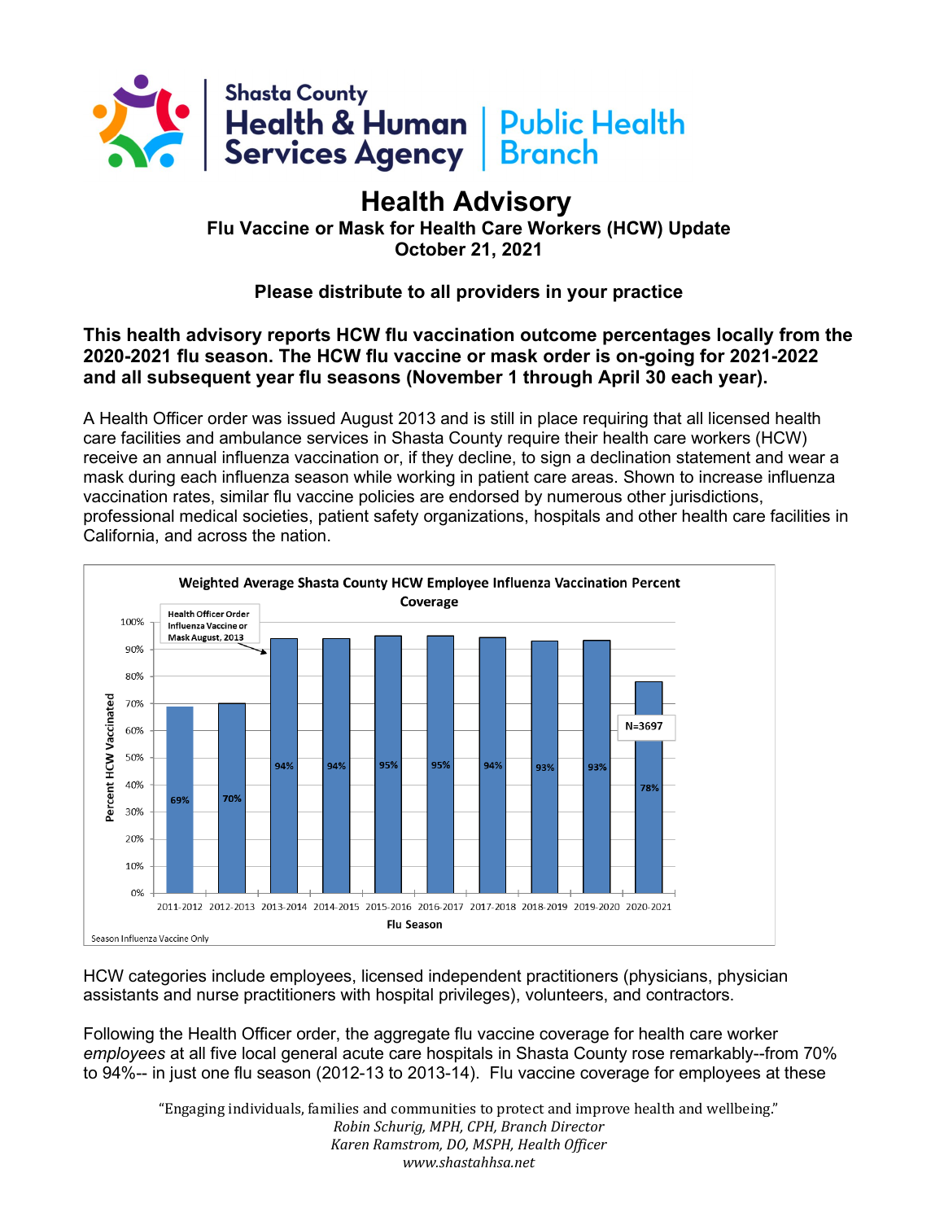

## **Health Advisory**

**Flu Vaccine or Mask for Health Care Workers (HCW) Update October 21, 2021**

**Please distribute to all providers in your practice**

**This health advisory reports HCW flu vaccination outcome percentages locally from the 2020-2021 flu season. The HCW flu vaccine or mask order is on-going for 2021-2022 and all subsequent year flu seasons (November 1 through April 30 each year).**

A Health Officer order was issued August 2013 and is still in place requiring that all licensed health care facilities and ambulance services in Shasta County require their health care workers (HCW) receive an annual influenza vaccination or, if they decline, to sign a declination statement and wear a mask during each influenza season while working in patient care areas. Shown to increase influenza vaccination rates, similar flu vaccine policies are endorsed by numerous other jurisdictions, professional medical societies, patient safety organizations, hospitals and other health care facilities in California, and across the nation.



HCW categories include employees, licensed independent practitioners (physicians, physician assistants and nurse practitioners with hospital privileges), volunteers, and contractors.

Following the Health Officer order, the aggregate flu vaccine coverage for health care worker *employees* at all five local general acute care hospitals in Shasta County rose remarkably--from 70% to 94%-- in just one flu season (2012-13 to 2013-14). Flu vaccine coverage for employees at these

> "Engaging individuals, families and communities to protect and improve health and wellbeing." *Robin Schurig, MPH, CPH, Branch Director Karen Ramstrom, DO, MSPH, Health Officer www.shastahhsa.net*